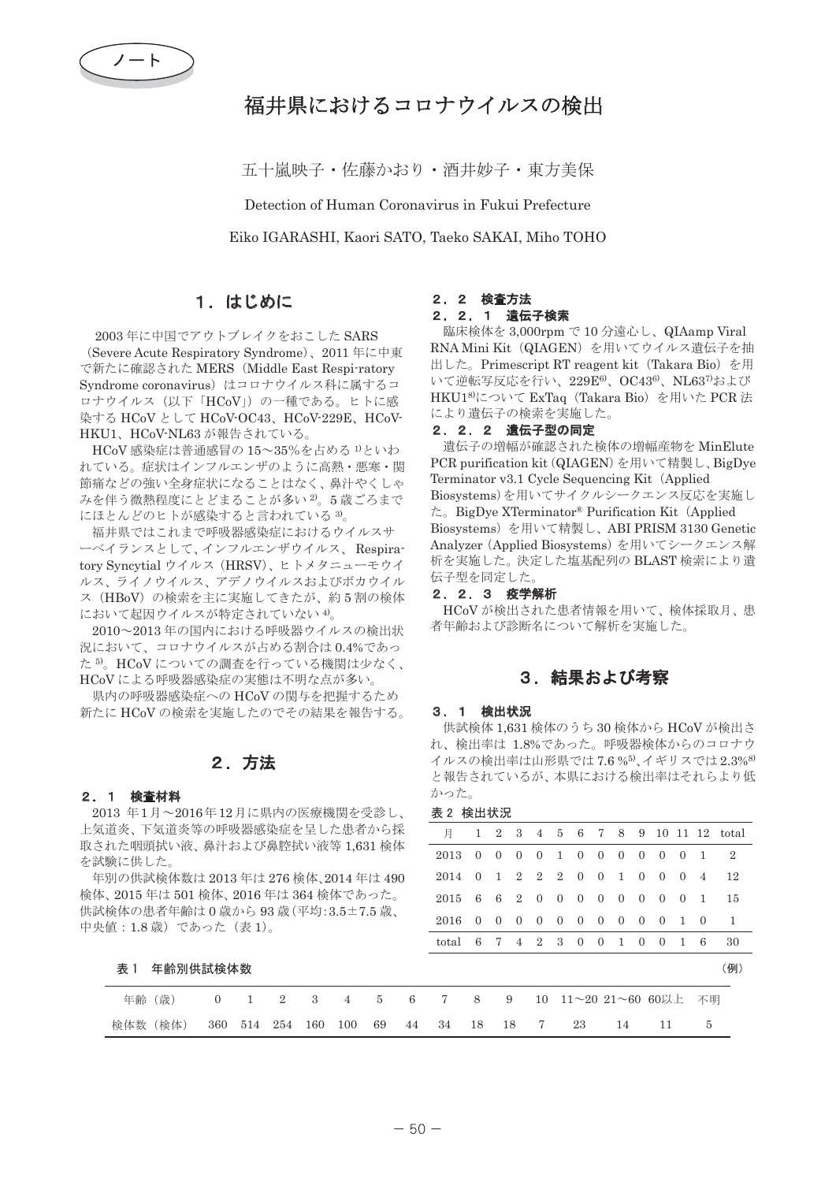

# 福井県におけるコロナウイルスの検出

五十嵐映子・佐藤かおり・酒井妙子・東方美保

Detection of Human Coronavirus in Fukui Prefecture Eiko IGARASHI, Kaori SATO, Taeko SAKAI, Miho TOHO

## 1. はじめに

2003年に中国でアウトブレイクをおこした SARS (Severe Acute Respiratory Syndrome)、2011年に中東 で新たに確認された MERS (Middle East Respi-ratory Syndrome coronavirus)はコロナウイルス科に属するコ ロナウイルス (以下「HCoV」)の一種である。ヒトに感 染する HCoV として HCoV-OC43、HCoV-229E、HCoV-HKU1、HCoV-NL63 が報告されている。

HCoV 感染症は普通感冒の 15~35%を占める <sup>1)</sup>といわ れている。症状はインフルエンザのように高熱・悪寒・関 銜痛などの強い全身症状になることはなく、鼻汁やくしゃ みを伴う微熱程度にとどまることが多い2。5歳ごろまで にほとんどのヒトが感染すると言われている 3)。

福井県ではこれまで呼吸器感染症におけるウイルスサ ーベイランスとして、インフルエンザウイルス、Respiratory Syncytial ウイルス (HRSV)、ヒトメタニューモウイ ルス、ライノウイルス、アデノウイルスおよびボカウイル ス (HBoV) の検索を主に実施してきたが、約5割の検体 において起因ウイルスが特定されていない4)。

2010 ~ 2013 年の国内における呼吸器ウイルスの検出状 況において、コロナウイルスが占める割合は0.4%であっ た<sup>5</sup>。HCoVについての調査を行っている機関は少なく、 HCoVによる呼吸器感染症の実態は不明な点が多い。

県内の呼吸器感染症への HCoV の関与を把握するため 新たに HCoV の検索を実施したのでその結果を報告する。

## 2. 方法

### 2. 1 検査材料

2013 年1月~2016年12月に県内の医療機関を受診し、 上気道炎、下気道炎等の呼吸器感染症を呈した患者から採 取された咽頭拭い液、鼻汁および鼻腔拭い液等 1,631 検体 を試験に供した。

年別の供試検体数は 2013 年は 276 検体、2014 年は 490 検体、2015年は501検体、2016年は364検体であった。 供試検体の患者年齢は0歳から93歳(平均:3.5±7.5 歳、 中央値: 1.8 歳)であった (表 1)。

表 1 年齡別供試検体数

### 2. 2 検査方法

### 2. 2. 1 遺伝子検索

臨床検体を 3,000rpm で 10 分遠心し、QIAamp Viral RNA Mini Kit (QIAGEN) を用いてウイルス遺伝子を抽 出した。Primescript RT reagent kit (Takara Bio) を用 いて逆転写反応を行い、229E<sup>6)</sup>、OC43<sup>6)</sup>、NL63<sup>7)</sup>および HKU1<sup>8</sup>について ExTaq (Takara Bio) を用いた PCR 法 により潰伝子の検索を実施した。

#### 2. 2. 2 遺伝子型の同定

遺伝子の増幅が確認された検体の増幅産物を MinElute PCR purification kit (QIAGEN) を用いて精製し、BigDye Terminator v3.1 Cycle Sequencing Kit (Applied Biosystems)を用いてサイクルシークエンス反応を実施し ࠋࡓBigDye XTerminator® Purification Kit㸦Applied Biosystems) を用いて精製し、ABI PRISM 3130 Genetic Analyzer (Applied Biosystems) を用いてシークエンス解 析を実施した。決定した塩基配列の BLAST 検索により潰 伝子型を同定した。

#### 2. 2. 3 疫学解析

HCoV が検出された患者情報を用いて、検体採取月、患 者年齢および診断名について解析を実施した。

### 3. 結果および考察

#### 3. 1 検出状況

供試検体 1,631 検体のうち 30 検体から HCoV が検出さ れ、検出率は 1.8%であった。呼吸器検体からのコロナウ イルスの検出率は山形県では7.6%5、イギリスでは2.3%8) と報告されているが、本県における検出率はそれらより低 かった。

᭶ 1 2 3 4 5 6 7 8 9 10 11 12 total 2013 0 0 0 0 1 0 0 0 0 0 0 1 2 2014 0 1 2 2 2 0 0 1 0 0 0 4 12 2015 6 6 2 0 0 0 0 0 0 0 0 1 15 2016 0 0 0 0 0 0 0 0 0 0 1 0 1 total 6 7 4 2 3 0 0 1 0 0 1 6 30 (例) 表 2 検出状況

年齢 (歳) 0 1 2 3 4 5 6 7 8 9 10 11~20 21~60 60以上 不明 檢体数 (検体) 360 514 254 160 100 69 44 34 18 18 7 23 14 11 5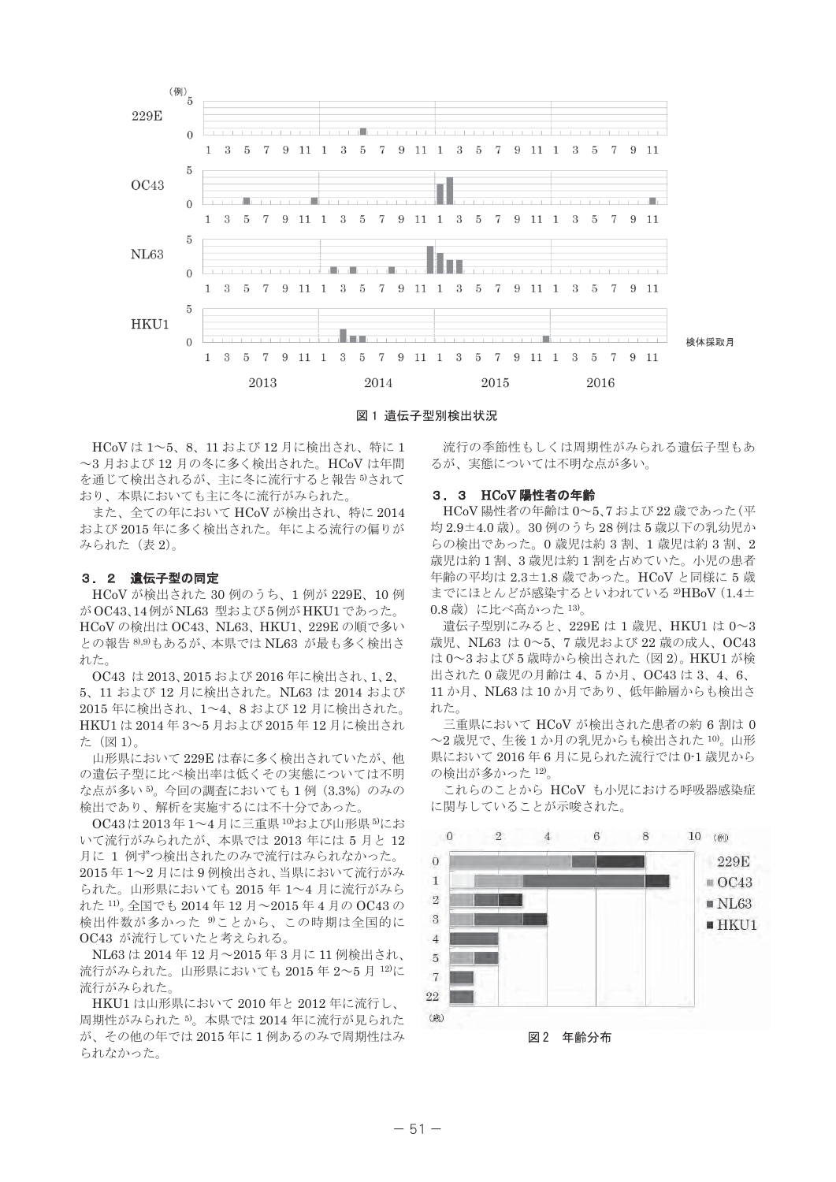

図 1 遺伝子型別検出状況

HCoVは1~5、8、11 および12 月に検出され、特に1 ~3 月および 12 月の冬に多く検出された。HCoV は年間 を通じて検出されるが、主に冬に流行すると報告5されて おり、本県においても主に冬に流行がみられた。

また、全ての年において HCoV が検出され、特に 2014 および2015年に多く検出された。年による流行の偏りが みられた (表2)。

#### 3. 2 遺伝子型の同定

HCoV が検出された 30 例のうち、1 例が 229E、10 例 が OC43.14 例が NL63 型および5例が HKU1 であった。 HCoVの検出は OC43, NL63, HKU1, 229Eの順で多い との報告<sup>8,9)</sup>もあるが、本県では NL63 が最も多く検出さ れた。

OC43 は 2013、2015 および 2016 年に検出され、1、2、 5、11 および 12 月に検出された。NL63 は 2014 および 2015 年に検出され、1~4、8 および 12 月に検出された。 HKU1 は 2014年3~5月および 2015年12月に検出され た (図1)。

山形県において229Eは春に多く検出されていたが、他 の遺伝子型に比べ検出率は低くその実態については不明 な点が多い<sup>5</sup>。今回の調査においても1例 (3.3%) のみの 検出であり、解析を実施するには不十分であった。

OC43は2013年1~4月に三重県10および山形県5にお いて流行がみられたが、本県では 2013年には5月と12 月に 1 例ずつ検出されたのみで流行はみられなかった。 2015年1~2月には9例検出され、当県において流行がみ られた。山形県においても 2015 年 1~4 月に流行がみら れた 11)。全国でも 2014年12月~2015年4月のOC43の 検出件数が多かった<sup>9</sup>ことから、この時期は全国的に OC43 が流行していたと考えられる。

NL63 は 2014 年 12 月~2015 年 3 月に 11 例検出され、 流行がみられた。山形県においても 2015年2~5月12)に 流行がみられた。

HKU1 は山形県において 2010 年と 2012 年に流行し、 周期性がみられた<sup>5</sup>。本県では2014年に流行が見られた が、その他の年では2015年に1例あるのみで周期性はみ られなかった。

流行の季節性もしくは周期性がみられる遺伝子型もあ るが、実態については不明な点が多い。

#### 3. 3 HCoV 陽性者の年齢

HCoV 陽性者の年齢は0~5、7 および 22 歳であった (平 均 2.9±4.0 歳)。30例のうち28例は5 歳以下の乳幼児か らの検出であった。0歳児は約3割、1歳児は約3割、2 歳児は約1割、3歳児は約1割を占めていた。小児の患者 年齢の平均は 2.3±1.8 歳であった。HCoV と同様に 5 歳 までにほとんどが感染するといわれている<sup>2)</sup>HBoV (1.4± 0.8歳)に比べ高かった13)。

遺伝子型別にみると、229E は 1 歳児、HKU1 は 0~3 歳児、NL63 は 0~5、7 歳児および 22 歳の成人、OC43 は0~3および5歳時から検出された (図2)。HKU1 が検 出された 0 歳児の月齢は 4、5 か月、OC43 は 3、4、6、 11 か月、NL63 は 10 か月であり、低年齢層からも検出さ れた。

三重県において HCoV が検出された患者の約6割は0 ~2 歳児で、生後1か月の乳児からも検出された10。山形 県において 2016年6月に見られた流行では 0-1 歳児から の検出が多かった 12)。

これらのことから HCoV も小児における呼吸器感染症 に関与していることが示唆された。